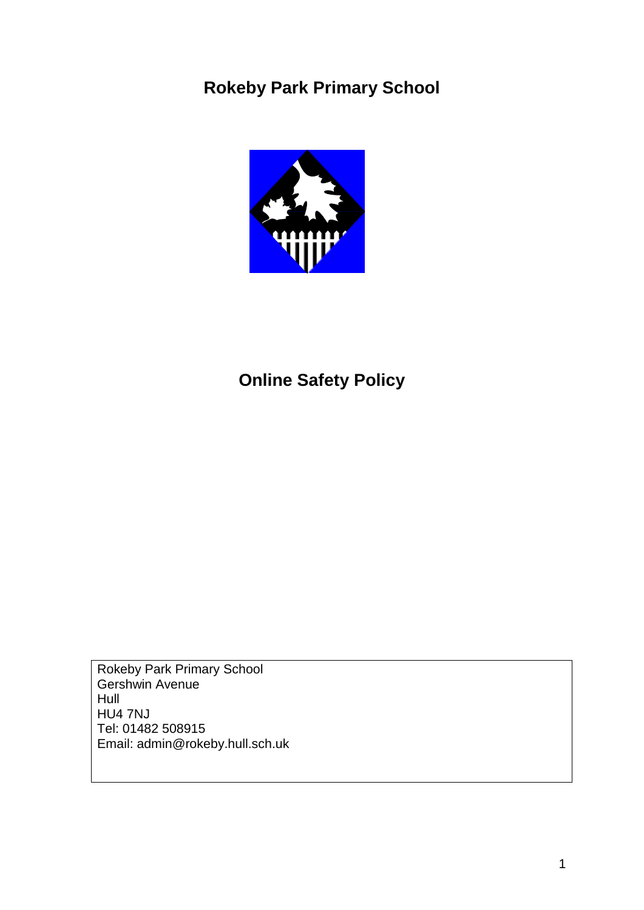# **Rokeby Park Primary School**



# **Online Safety Policy**

Rokeby Park Primary School Gershwin Avenue Hull HU4 7NJ Tel: 01482 508915 Email: admin@rokeby.hull.sch.uk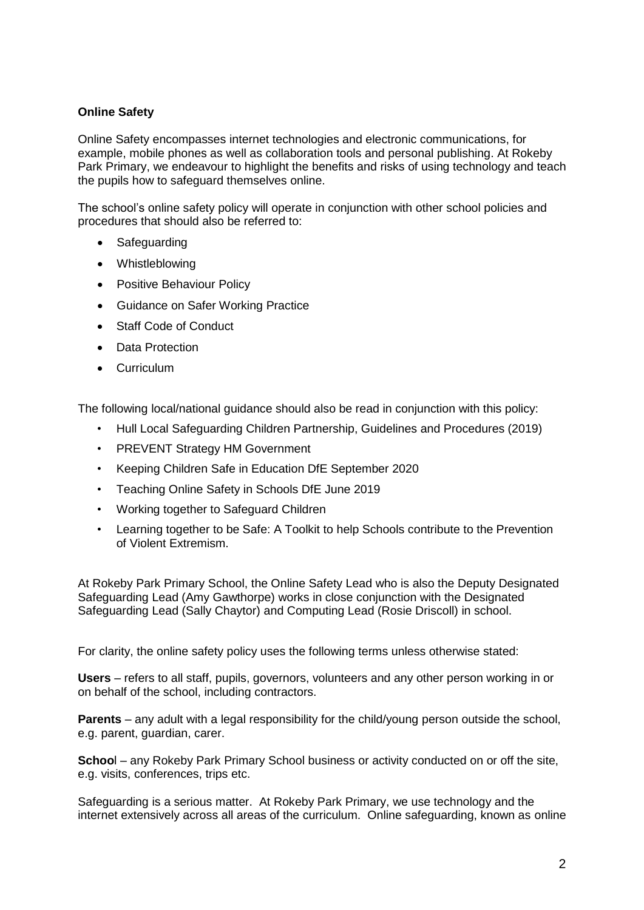# **Online Safety**

Online Safety encompasses internet technologies and electronic communications, for example, mobile phones as well as collaboration tools and personal publishing. At Rokeby Park Primary, we endeavour to highlight the benefits and risks of using technology and teach the pupils how to safeguard themselves online.

The school's online safety policy will operate in conjunction with other school policies and procedures that should also be referred to:

- **Safeguarding**
- Whistleblowing
- Positive Behaviour Policy
- Guidance on Safer Working Practice
- Staff Code of Conduct
- Data Protection
- Curriculum

The following local/national guidance should also be read in conjunction with this policy:

- Hull Local Safeguarding Children Partnership, Guidelines and Procedures (2019)
- PREVENT Strategy HM Government
- Keeping Children Safe in Education DfE September 2020
- Teaching Online Safety in Schools DfE June 2019
- Working together to Safeguard Children
- Learning together to be Safe: A Toolkit to help Schools contribute to the Prevention of Violent Extremism.

At Rokeby Park Primary School, the Online Safety Lead who is also the Deputy Designated Safeguarding Lead (Amy Gawthorpe) works in close conjunction with the Designated Safeguarding Lead (Sally Chaytor) and Computing Lead (Rosie Driscoll) in school.

For clarity, the online safety policy uses the following terms unless otherwise stated:

**Users** – refers to all staff, pupils, governors, volunteers and any other person working in or on behalf of the school, including contractors.

**Parents** – any adult with a legal responsibility for the child/young person outside the school, e.g. parent, guardian, carer.

**Schoo**l – any Rokeby Park Primary School business or activity conducted on or off the site, e.g. visits, conferences, trips etc.

Safeguarding is a serious matter. At Rokeby Park Primary, we use technology and the internet extensively across all areas of the curriculum. Online safeguarding, known as online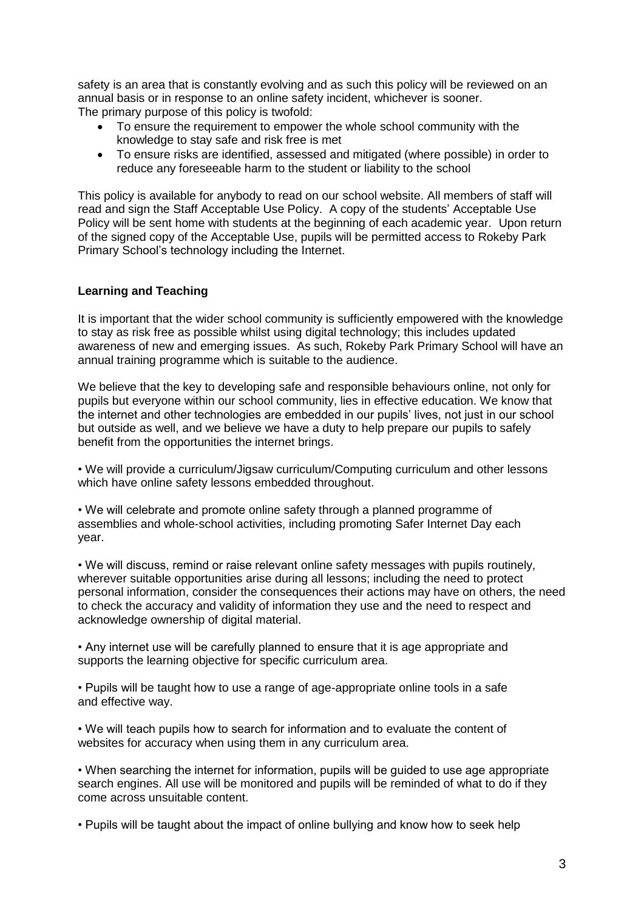safety is an area that is constantly evolving and as such this policy will be reviewed on an annual basis or in response to an online safety incident, whichever is sooner. The primary purpose of this policy is twofold:

- To ensure the requirement to empower the whole school community with the knowledge to stay safe and risk free is met
- To ensure risks are identified, assessed and mitigated (where possible) in order to reduce any foreseeable harm to the student or liability to the school

This policy is available for anybody to read on our school website. All members of staff will read and sign the Staff Acceptable Use Policy. A copy of the students' Acceptable Use Policy will be sent home with students at the beginning of each academic year. Upon return of the signed copy of the Acceptable Use, pupils will be permitted access to Rokeby Park Primary School's technology including the Internet.

## **Learning and Teaching**

It is important that the wider school community is sufficiently empowered with the knowledge to stay as risk free as possible whilst using digital technology; this includes updated awareness of new and emerging issues. As such, Rokeby Park Primary School will have an annual training programme which is suitable to the audience.

We believe that the key to developing safe and responsible behaviours online, not only for pupils but everyone within our school community, lies in effective education. We know that the internet and other technologies are embedded in our pupils' lives, not just in our school but outside as well, and we believe we have a duty to help prepare our pupils to safely benefit from the opportunities the internet brings.

• We will provide a curriculum/Jigsaw curriculum/Computing curriculum and other lessons which have online safety lessons embedded throughout.

• We will celebrate and promote online safety through a planned programme of assemblies and whole-school activities, including promoting Safer Internet Day each year.

• We will discuss, remind or raise relevant online safety messages with pupils routinely, wherever suitable opportunities arise during all lessons; including the need to protect personal information, consider the consequences their actions may have on others, the need to check the accuracy and validity of information they use and the need to respect and acknowledge ownership of digital material.

• Any internet use will be carefully planned to ensure that it is age appropriate and supports the learning objective for specific curriculum area.

• Pupils will be taught how to use a range of age-appropriate online tools in a safe and effective way.

• We will teach pupils how to search for information and to evaluate the content of websites for accuracy when using them in any curriculum area.

• When searching the internet for information, pupils will be guided to use age appropriate search engines. All use will be monitored and pupils will be reminded of what to do if they come across unsuitable content.

• Pupils will be taught about the impact of online bullying and know how to seek help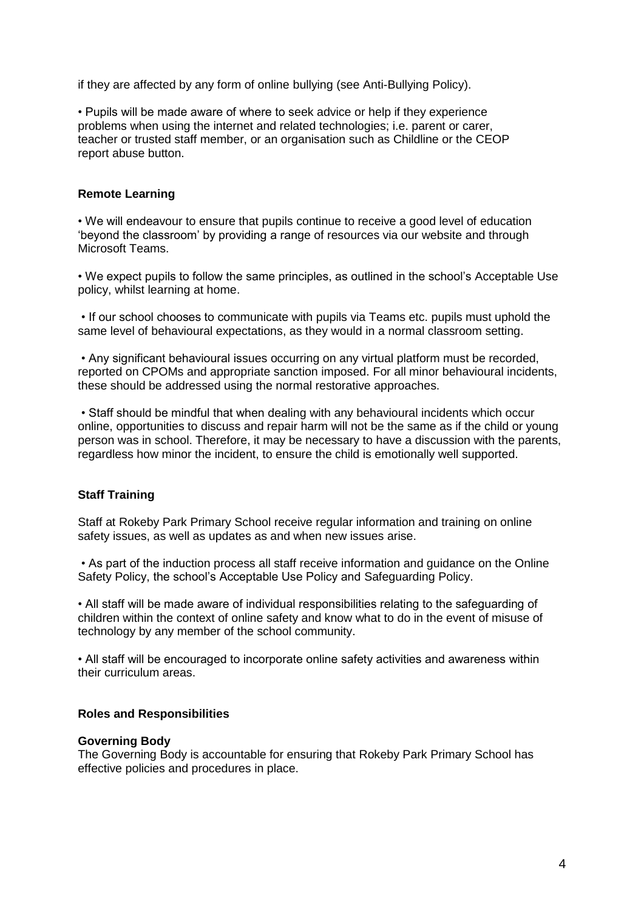if they are affected by any form of online bullying (see Anti-Bullying Policy).

• Pupils will be made aware of where to seek advice or help if they experience problems when using the internet and related technologies; i.e. parent or carer, teacher or trusted staff member, or an organisation such as Childline or the CEOP report abuse button.

### **Remote Learning**

• We will endeavour to ensure that pupils continue to receive a good level of education 'beyond the classroom' by providing a range of resources via our website and through Microsoft Teams.

• We expect pupils to follow the same principles, as outlined in the school's Acceptable Use policy, whilst learning at home.

• If our school chooses to communicate with pupils via Teams etc. pupils must uphold the same level of behavioural expectations, as they would in a normal classroom setting.

• Any significant behavioural issues occurring on any virtual platform must be recorded, reported on CPOMs and appropriate sanction imposed. For all minor behavioural incidents, these should be addressed using the normal restorative approaches.

• Staff should be mindful that when dealing with any behavioural incidents which occur online, opportunities to discuss and repair harm will not be the same as if the child or young person was in school. Therefore, it may be necessary to have a discussion with the parents, regardless how minor the incident, to ensure the child is emotionally well supported.

#### **Staff Training**

Staff at Rokeby Park Primary School receive regular information and training on online safety issues, as well as updates as and when new issues arise.

• As part of the induction process all staff receive information and guidance on the Online Safety Policy, the school's Acceptable Use Policy and Safeguarding Policy.

• All staff will be made aware of individual responsibilities relating to the safeguarding of children within the context of online safety and know what to do in the event of misuse of technology by any member of the school community.

• All staff will be encouraged to incorporate online safety activities and awareness within their curriculum areas.

#### **Roles and Responsibilities**

#### **Governing Body**

The Governing Body is accountable for ensuring that Rokeby Park Primary School has effective policies and procedures in place.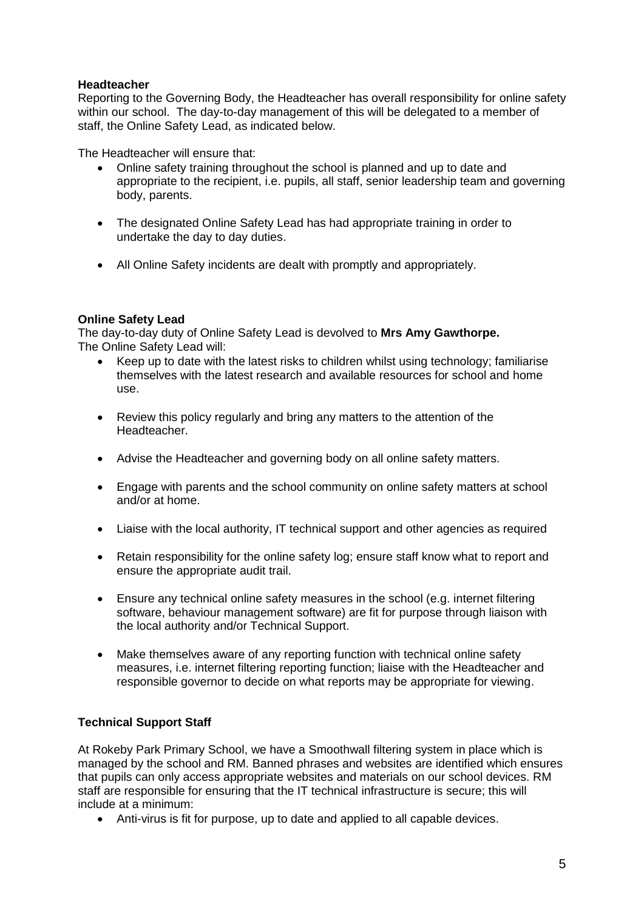# **Headteacher**

Reporting to the Governing Body, the Headteacher has overall responsibility for online safety within our school. The day-to-day management of this will be delegated to a member of staff, the Online Safety Lead, as indicated below.

The Headteacher will ensure that:

- Online safety training throughout the school is planned and up to date and appropriate to the recipient, i.e. pupils, all staff, senior leadership team and governing body, parents.
- The designated Online Safety Lead has had appropriate training in order to undertake the day to day duties.
- All Online Safety incidents are dealt with promptly and appropriately.

## **Online Safety Lead**

The day-to-day duty of Online Safety Lead is devolved to **Mrs Amy Gawthorpe.** The Online Safety Lead will:

- Keep up to date with the latest risks to children whilst using technology; familiarise themselves with the latest research and available resources for school and home use.
- Review this policy regularly and bring any matters to the attention of the Headteacher.
- Advise the Headteacher and governing body on all online safety matters.
- Engage with parents and the school community on online safety matters at school and/or at home.
- Liaise with the local authority, IT technical support and other agencies as required
- Retain responsibility for the online safety log; ensure staff know what to report and ensure the appropriate audit trail.
- Ensure any technical online safety measures in the school (e.g. internet filtering software, behaviour management software) are fit for purpose through liaison with the local authority and/or Technical Support.
- Make themselves aware of any reporting function with technical online safety measures, i.e. internet filtering reporting function; liaise with the Headteacher and responsible governor to decide on what reports may be appropriate for viewing.

# **Technical Support Staff**

At Rokeby Park Primary School, we have a Smoothwall filtering system in place which is managed by the school and RM. Banned phrases and websites are identified which ensures that pupils can only access appropriate websites and materials on our school devices. RM staff are responsible for ensuring that the IT technical infrastructure is secure; this will include at a minimum:

Anti-virus is fit for purpose, up to date and applied to all capable devices.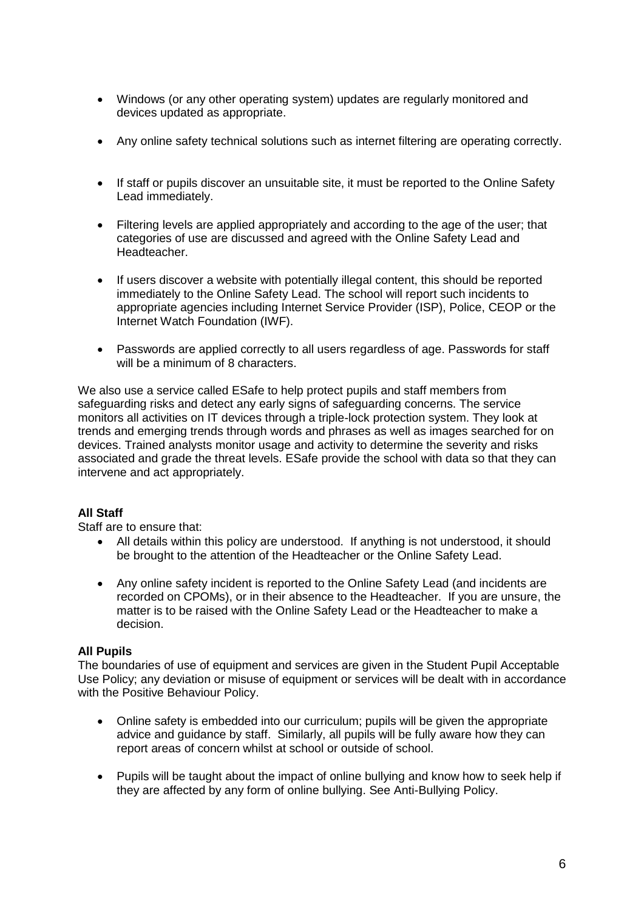- Windows (or any other operating system) updates are regularly monitored and devices updated as appropriate.
- Any online safety technical solutions such as internet filtering are operating correctly.
- If staff or pupils discover an unsuitable site, it must be reported to the Online Safety Lead immediately.
- Filtering levels are applied appropriately and according to the age of the user; that categories of use are discussed and agreed with the Online Safety Lead and Headteacher.
- If users discover a website with potentially illegal content, this should be reported immediately to the Online Safety Lead. The school will report such incidents to appropriate agencies including Internet Service Provider (ISP), Police, CEOP or the Internet Watch Foundation (IWF).
- Passwords are applied correctly to all users regardless of age. Passwords for staff will be a minimum of 8 characters.

We also use a service called ESafe to help protect pupils and staff members from safeguarding risks and detect any early signs of safeguarding concerns. The service monitors all activities on IT devices through a triple-lock protection system. They look at trends and emerging trends through words and phrases as well as images searched for on devices. Trained analysts monitor usage and activity to determine the severity and risks associated and grade the threat levels. ESafe provide the school with data so that they can intervene and act appropriately.

# **All Staff**

Staff are to ensure that:

- All details within this policy are understood. If anything is not understood, it should be brought to the attention of the Headteacher or the Online Safety Lead.
- Any online safety incident is reported to the Online Safety Lead (and incidents are recorded on CPOMs), or in their absence to the Headteacher. If you are unsure, the matter is to be raised with the Online Safety Lead or the Headteacher to make a decision.

#### **All Pupils**

The boundaries of use of equipment and services are given in the Student Pupil Acceptable Use Policy; any deviation or misuse of equipment or services will be dealt with in accordance with the Positive Behaviour Policy.

- Online safety is embedded into our curriculum; pupils will be given the appropriate advice and guidance by staff. Similarly, all pupils will be fully aware how they can report areas of concern whilst at school or outside of school.
- Pupils will be taught about the impact of online bullying and know how to seek help if they are affected by any form of online bullying. See Anti-Bullying Policy.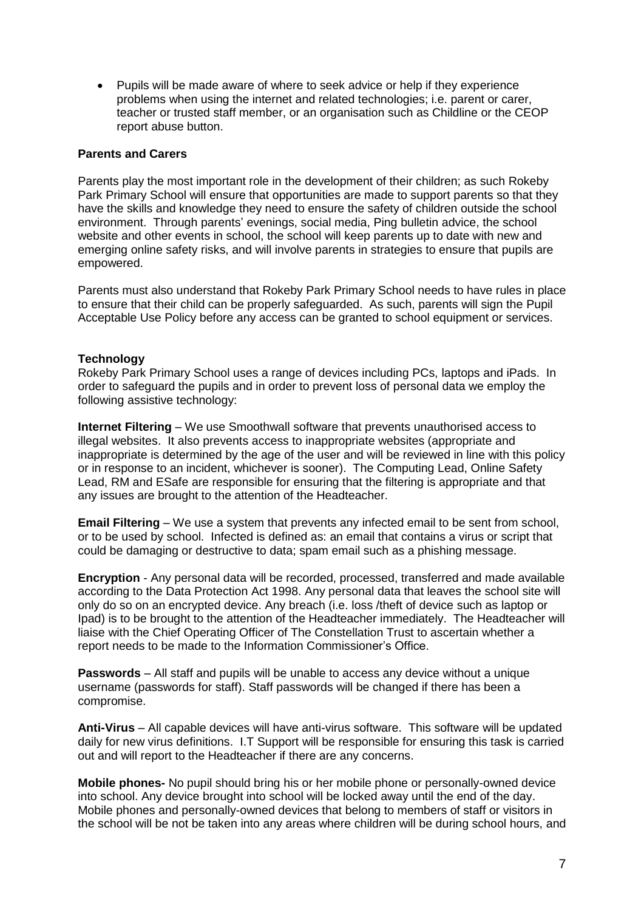Pupils will be made aware of where to seek advice or help if they experience problems when using the internet and related technologies; i.e. parent or carer, teacher or trusted staff member, or an organisation such as Childline or the CEOP report abuse button.

#### **Parents and Carers**

Parents play the most important role in the development of their children; as such Rokeby Park Primary School will ensure that opportunities are made to support parents so that they have the skills and knowledge they need to ensure the safety of children outside the school environment. Through parents' evenings, social media, Ping bulletin advice, the school website and other events in school, the school will keep parents up to date with new and emerging online safety risks, and will involve parents in strategies to ensure that pupils are empowered.

Parents must also understand that Rokeby Park Primary School needs to have rules in place to ensure that their child can be properly safeguarded. As such, parents will sign the Pupil Acceptable Use Policy before any access can be granted to school equipment or services.

#### **Technology**

Rokeby Park Primary School uses a range of devices including PCs, laptops and iPads. In order to safeguard the pupils and in order to prevent loss of personal data we employ the following assistive technology:

**Internet Filtering** – We use Smoothwall software that prevents unauthorised access to illegal websites. It also prevents access to inappropriate websites (appropriate and inappropriate is determined by the age of the user and will be reviewed in line with this policy or in response to an incident, whichever is sooner). The Computing Lead, Online Safety Lead, RM and ESafe are responsible for ensuring that the filtering is appropriate and that any issues are brought to the attention of the Headteacher.

**Email Filtering** – We use a system that prevents any infected email to be sent from school, or to be used by school. Infected is defined as: an email that contains a virus or script that could be damaging or destructive to data; spam email such as a phishing message.

**Encryption** - Any personal data will be recorded, processed, transferred and made available according to the Data Protection Act 1998. Any personal data that leaves the school site will only do so on an encrypted device. Any breach (i.e. loss /theft of device such as laptop or Ipad) is to be brought to the attention of the Headteacher immediately. The Headteacher will liaise with the Chief Operating Officer of The Constellation Trust to ascertain whether a report needs to be made to the Information Commissioner's Office.

**Passwords** – All staff and pupils will be unable to access any device without a unique username (passwords for staff). Staff passwords will be changed if there has been a compromise.

**Anti-Virus** – All capable devices will have anti-virus software. This software will be updated daily for new virus definitions. I.T Support will be responsible for ensuring this task is carried out and will report to the Headteacher if there are any concerns.

**Mobile phones-** No pupil should bring his or her mobile phone or personally-owned device into school. Any device brought into school will be locked away until the end of the day. Mobile phones and personally-owned devices that belong to members of staff or visitors in the school will be not be taken into any areas where children will be during school hours, and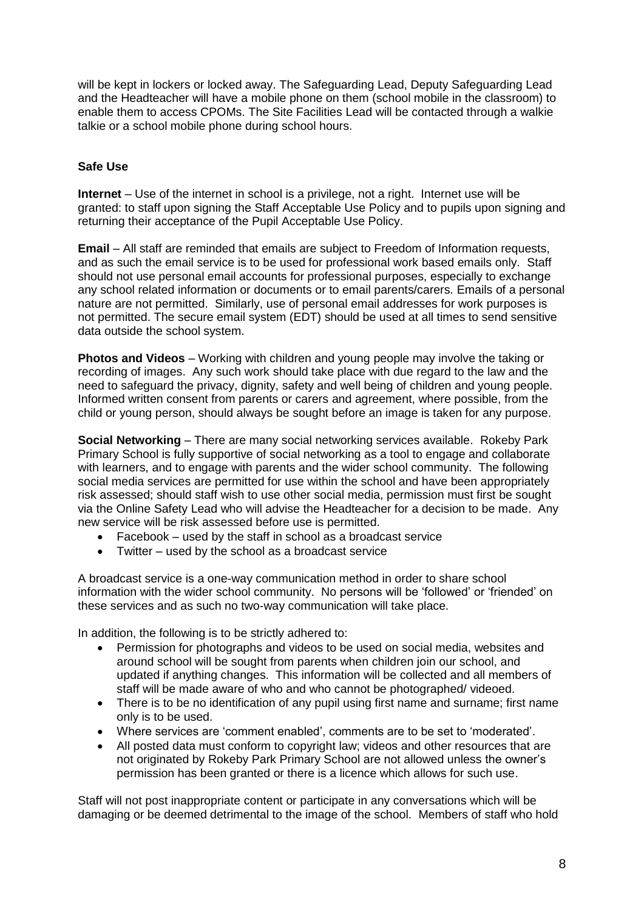will be kept in lockers or locked away. The Safeguarding Lead, Deputy Safeguarding Lead and the Headteacher will have a mobile phone on them (school mobile in the classroom) to enable them to access CPOMs. The Site Facilities Lead will be contacted through a walkie talkie or a school mobile phone during school hours.

## **Safe Use**

**Internet** – Use of the internet in school is a privilege, not a right. Internet use will be granted: to staff upon signing the Staff Acceptable Use Policy and to pupils upon signing and returning their acceptance of the Pupil Acceptable Use Policy.

**Email** – All staff are reminded that emails are subject to Freedom of Information requests, and as such the email service is to be used for professional work based emails only. Staff should not use personal email accounts for professional purposes, especially to exchange any school related information or documents or to email parents/carers. Emails of a personal nature are not permitted. Similarly, use of personal email addresses for work purposes is not permitted. The secure email system (EDT) should be used at all times to send sensitive data outside the school system.

**Photos and Videos** – Working with children and young people may involve the taking or recording of images. Any such work should take place with due regard to the law and the need to safeguard the privacy, dignity, safety and well being of children and young people. Informed written consent from parents or carers and agreement, where possible, from the child or young person, should always be sought before an image is taken for any purpose.

**Social Networking** – There are many social networking services available. Rokeby Park Primary School is fully supportive of social networking as a tool to engage and collaborate with learners, and to engage with parents and the wider school community. The following social media services are permitted for use within the school and have been appropriately risk assessed; should staff wish to use other social media, permission must first be sought via the Online Safety Lead who will advise the Headteacher for a decision to be made. Any new service will be risk assessed before use is permitted.

- Facebook used by the staff in school as a broadcast service
- Twitter used by the school as a broadcast service

A broadcast service is a one-way communication method in order to share school information with the wider school community. No persons will be 'followed' or 'friended' on these services and as such no two-way communication will take place.

In addition, the following is to be strictly adhered to:

- Permission for photographs and videos to be used on social media, websites and around school will be sought from parents when children join our school, and updated if anything changes. This information will be collected and all members of staff will be made aware of who and who cannot be photographed/ videoed.
- There is to be no identification of any pupil using first name and surname; first name only is to be used.
- Where services are 'comment enabled', comments are to be set to 'moderated'.
- All posted data must conform to copyright law; videos and other resources that are not originated by Rokeby Park Primary School are not allowed unless the owner's permission has been granted or there is a licence which allows for such use.

Staff will not post inappropriate content or participate in any conversations which will be damaging or be deemed detrimental to the image of the school.Members of staff who hold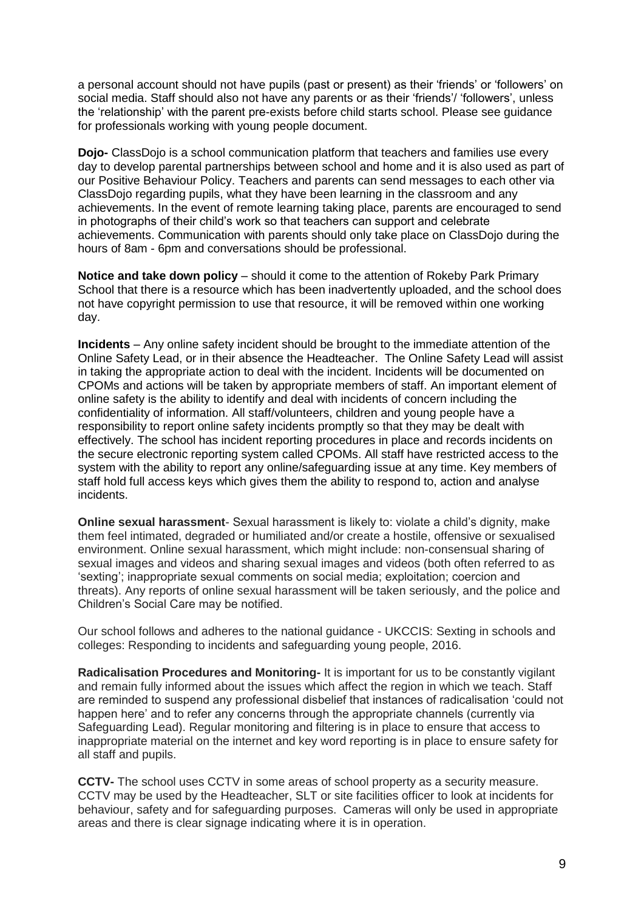a personal account should not have pupils (past or present) as their 'friends' or 'followers' on social media. Staff should also not have any parents or as their 'friends'/ 'followers', unless the 'relationship' with the parent pre-exists before child starts school. Please see guidance for professionals working with young people document.

**Dojo-** ClassDojo is a school communication platform that teachers and families use every day to develop parental partnerships between school and home and it is also used as part of our Positive Behaviour Policy. Teachers and parents can send messages to each other via ClassDojo regarding pupils, what they have been learning in the classroom and any achievements. In the event of remote learning taking place, parents are encouraged to send in photographs of their child's work so that teachers can support and celebrate achievements. Communication with parents should only take place on ClassDojo during the hours of 8am - 6pm and conversations should be professional.

**Notice and take down policy** – should it come to the attention of Rokeby Park Primary School that there is a resource which has been inadvertently uploaded, and the school does not have copyright permission to use that resource, it will be removed within one working day.

**Incidents** – Any online safety incident should be brought to the immediate attention of the Online Safety Lead, or in their absence the Headteacher. The Online Safety Lead will assist in taking the appropriate action to deal with the incident. Incidents will be documented on CPOMs and actions will be taken by appropriate members of staff. An important element of online safety is the ability to identify and deal with incidents of concern including the confidentiality of information. All staff/volunteers, children and young people have a responsibility to report online safety incidents promptly so that they may be dealt with effectively. The school has incident reporting procedures in place and records incidents on the secure electronic reporting system called CPOMs. All staff have restricted access to the system with the ability to report any online/safeguarding issue at any time. Key members of staff hold full access keys which gives them the ability to respond to, action and analyse incidents.

**Online sexual harassment**- Sexual harassment is likely to: violate a child's dignity, make them feel intimated, degraded or humiliated and/or create a hostile, offensive or sexualised environment. Online sexual harassment, which might include: non-consensual sharing of sexual images and videos and sharing sexual images and videos (both often referred to as 'sexting'; inappropriate sexual comments on social media; exploitation; coercion and threats). Any reports of online sexual harassment will be taken seriously, and the police and Children's Social Care may be notified.

Our school follows and adheres to the national guidance - UKCCIS: Sexting in schools and colleges: Responding to incidents and safeguarding young people, 2016.

**Radicalisation Procedures and Monitoring-** It is important for us to be constantly vigilant and remain fully informed about the issues which affect the region in which we teach. Staff are reminded to suspend any professional disbelief that instances of radicalisation 'could not happen here' and to refer any concerns through the appropriate channels (currently via Safeguarding Lead). Regular monitoring and filtering is in place to ensure that access to inappropriate material on the internet and key word reporting is in place to ensure safety for all staff and pupils.

**CCTV-** The school uses CCTV in some areas of school property as a security measure. CCTV may be used by the Headteacher, SLT or site facilities officer to look at incidents for behaviour, safety and for safeguarding purposes. Cameras will only be used in appropriate areas and there is clear signage indicating where it is in operation.